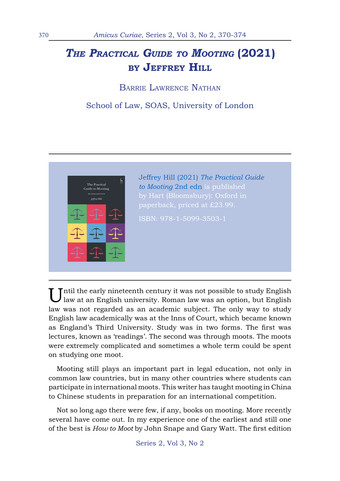# *The Practical Guide to Mooting* **(2021) by Jeffrey Hill**

Barrie Lawrence Nathan

## School of Law, SOAS, University of London



Until the early nineteenth century it was not possible to study English law at an English university. Roman law was an option, but English law was not regarded as an academic subject. The only way to study English law academically was at the Inns of Court, which became known as England's Third University. Study was in two forms. The first was lectures, known as 'readings'. The second was through moots. The moots were extremely complicated and sometimes a whole term could be spent on studying one moot.

Mooting still plays an important part in legal education, not only in common law countries, but in many other countries where students can participate in international moots. This writer has taught mooting in China to Chinese students in preparation for an international competition.

Not so long ago there were few, if any, books on mooting. More recently several have come out. In my experience one of the earliest and still one of the best is *How to Moot* by John Snape and Gary Watt. The first edition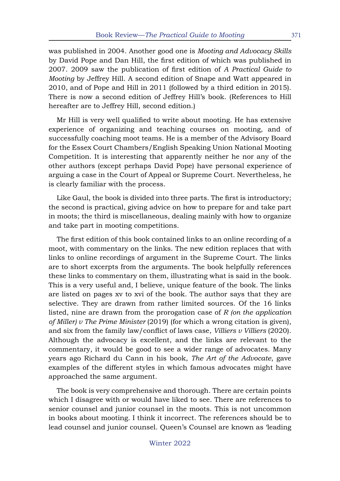was published in 2004. Another good one is *Mooting and Advocacy Skills*  by David Pope and Dan Hill, the first edition of which was published in 2007. 2009 saw the publication of first edition of *A Practical Guide to Mooting* by Jeffrey Hill. A second edition of Snape and Watt appeared in 2010, and of Pope and Hill in 2011 (followed by a third edition in 2015). There is now a second edition of Jeffrey Hill's book. (References to Hill hereafter are to Jeffrey Hill, second edition.)

Mr Hill is very well qualified to write about mooting. He has extensive experience of organizing and teaching courses on mooting, and of successfully coaching moot teams. He is a member of the Advisory Board for the Essex Court Chambers/English Speaking Union National Mooting Competition. It is interesting that apparently neither he nor any of the other authors (except perhaps David Pope) have personal experience of arguing a case in the Court of Appeal or Supreme Court. Nevertheless, he is clearly familiar with the process.

Like Gaul, the book is divided into three parts. The first is introductory; the second is practical, giving advice on how to prepare for and take part in moots; the third is miscellaneous, dealing mainly with how to organize and take part in mooting competitions.

The first edition of this book contained links to an online recording of a moot, with commentary on the links. The new edition replaces that with links to online recordings of argument in the Supreme Court. The links are to short excerpts from the arguments. The book helpfully references these links to commentary on them, illustrating what is said in the book. This is a very useful and, I believe, unique feature of the book. The links are listed on pages xv to xvi of the book. The author says that they are selective. They are drawn from rather limited sources. Of the 16 links listed, nine are drawn from the prorogation case of *R (on the application of Miller) v The Prime Minister* (2019) (for which a wrong citation is given), and six from the family law/conflict of laws case, *Villiers v Villiers* (2020). Although the advocacy is excellent, and the links are relevant to the commentary, it would be good to see a wider range of advocates. Many years ago Richard du Cann in his book, *The Art of the Advocate*, gave examples of the different styles in which famous advocates might have approached the same argument.

The book is very comprehensive and thorough. There are certain points which I disagree with or would have liked to see. There are references to senior counsel and junior counsel in the moots. This is not uncommon in books about mooting. I think it incorrect. The references should be to lead counsel and junior counsel. Queen's Counsel are known as 'leading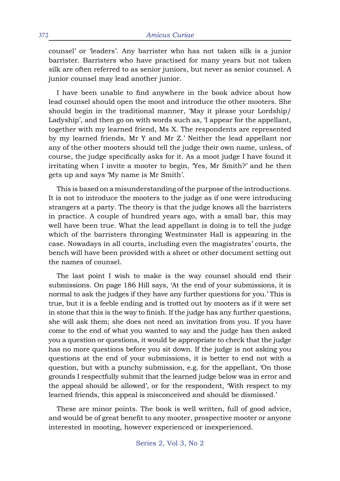counsel' or 'leaders'. Any barrister who has not taken silk is a junior barrister. Barristers who have practised for many years but not taken silk are often referred to as senior juniors, but never as senior counsel. A junior counsel may lead another junior.

I have been unable to find anywhere in the book advice about how lead counsel should open the moot and introduce the other mooters. She should begin in the traditional manner, 'May it please your Lordship/ Ladyship', and then go on with words such as, 'I appear for the appellant, together with my learned friend, Ms X. The respondents are represented by my learned friends, Mr Y and Mr Z.' Neither the lead appellant nor any of the other mooters should tell the judge their own name, unless, of course, the judge specifically asks for it. As a moot judge I have found it irritating when I invite a mooter to begin, 'Yes, Mr Smith?' and he then gets up and says 'My name is Mr Smith'.

This is based on a misunderstanding of the purpose of the introductions. It is not to introduce the mooters to the judge as if one were introducing strangers at a party. The theory is that the judge knows all the barristers in practice. A couple of hundred years ago, with a small bar, this may well have been true. What the lead appellant is doing is to tell the judge which of the barristers thronging Westminster Hall is appearing in the case. Nowadays in all courts, including even the magistrates' courts, the bench will have been provided with a sheet or other document setting out the names of counsel.

The last point I wish to make is the way counsel should end their submissions. On page 186 Hill says, 'At the end of your submissions, it is normal to ask the judges if they have any further questions for you.' This is true, but it is a feeble ending and is trotted out by mooters as if it were set in stone that this is the way to finish. If the judge has any further questions, she will ask them; she does not need an invitation from you. If you have come to the end of what you wanted to say and the judge has then asked you a question or questions, it would be appropriate to check that the judge has no more questions before you sit down. If the judge is not asking you questions at the end of your submissions, it is better to end not with a question, but with a punchy submission, e.g. for the appellant, 'On those grounds I respectfully submit that the learned judge below was in error and the appeal should be allowed', or for the respondent, 'With respect to my learned friends, this appeal is misconceived and should be dismissed.'

These are minor points. The book is well written, full of good advice, and would be of great benefit to any mooter, prospective mooter or anyone interested in mooting, however experienced or inexperienced.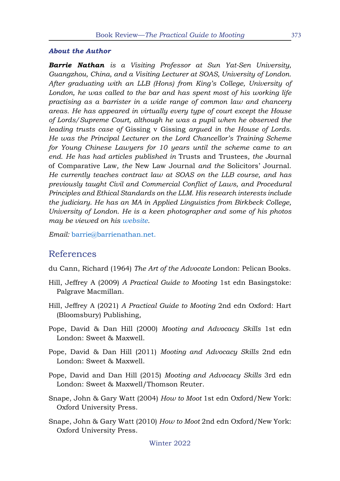#### *About the Author*

*Barrie Nathan is a Visiting Professor at Sun Yat-Sen University, Guangzhou, China, and a Visiting Lecturer at SOAS, University of London. After graduating with an LLB (Hons) from King's College, University of*  London, he was called to the bar and has spent most of his working life *practising as a barrister in a wide range of common law and chancery areas. He has appeared in virtually every type of court except the House of Lords/Supreme Court, although he was a pupil when he observed the leading trusts case of* Gissing v Gissing *argued in the House of Lords. He was the Principal Lecturer on the Lord Chancellor's Training Scheme for Young Chinese Lawyers for 10 years until the scheme came to an end. He has had articles published in* Trusts and Trustees*, the J*ournal of Comparative Law*, the* New Law Journal *and the* Solicitors' Journal*. He currently teaches contract law at SOAS on the LLB course, and has previously taught Civil and Commercial Conflict of Laws, and Procedural Principles and Ethical Standards on the LLM. His research interests include the judiciary. He has an MA in Applied Linguistics from Birkbeck College, University of London. He is a keen photographer and some of his photos may be viewed on his [website.](http://www.barrienathan.com)* 

*Email:* [barrie@barrienathan.net.](mailto:barrie%40barrienathan.net.?subject=)

### References

- du Cann, Richard (1964) *The Art of the Advocate* London: Pelican Books.
- Hill, Jeffrey A (2009) *A Practical Guide to Mooting* 1st edn Basingstoke: Palgrave Macmillan.
- Hill, Jeffrey A (2021) *A Practical Guide to Mooting* 2nd edn Oxford: Hart (Bloomsbury) Publishing,
- Pope, David & Dan Hill (2000) *Mooting and Advocacy Skills* 1st edn London: Sweet & Maxwell.
- Pope, David & Dan Hill (2011) *Mooting and Advocacy Skills* 2nd edn London: Sweet & Maxwell.
- Pope, David and Dan Hill (2015) *Mooting and Advocacy Skills* 3rd edn London: Sweet & Maxwell/Thomson Reuter.
- Snape, John & Gary Watt (2004) *How to Moot* 1st edn Oxford/New York: Oxford University Press.
- Snape, John & Gary Watt (2010) *How to Moot* 2nd edn Oxford/New York: Oxford University Press.